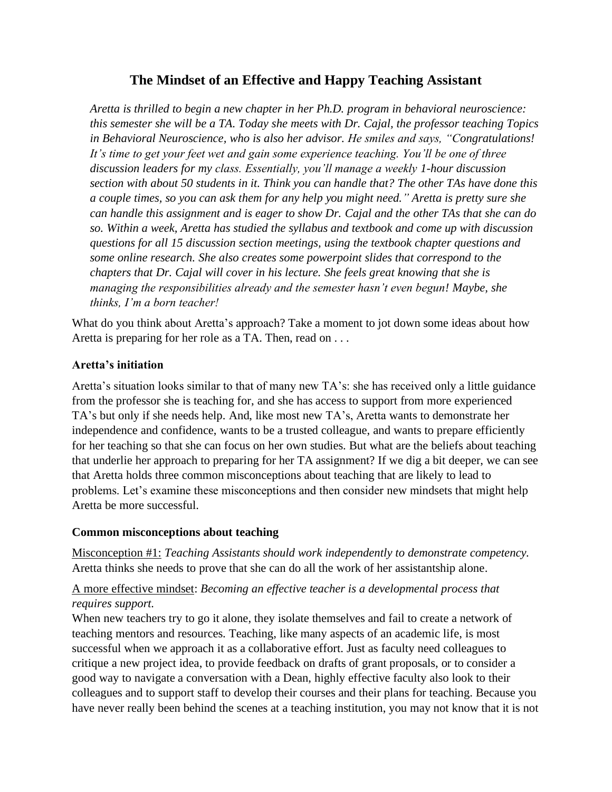# **The Mindset of an Effective and Happy Teaching Assistant**

*Aretta is thrilled to begin a new chapter in her Ph.D. program in behavioral neuroscience: this semester she will be a TA. Today she meets with Dr. Cajal, the professor teaching Topics in Behavioral Neuroscience, who is also her advisor. He smiles and says, "Congratulations! It's time to get your feet wet and gain some experience teaching. You'll be one of three discussion leaders for my class. Essentially, you'll manage a weekly 1-hour discussion section with about 50 students in it. Think you can handle that? The other TAs have done this a couple times, so you can ask them for any help you might need." Aretta is pretty sure she can handle this assignment and is eager to show Dr. Cajal and the other TAs that she can do so. Within a week, Aretta has studied the syllabus and textbook and come up with discussion questions for all 15 discussion section meetings, using the textbook chapter questions and some online research. She also creates some powerpoint slides that correspond to the chapters that Dr. Cajal will cover in his lecture. She feels great knowing that she is managing the responsibilities already and the semester hasn't even begun! Maybe, she thinks, I'm a born teacher!*

What do you think about Aretta's approach? Take a moment to jot down some ideas about how Aretta is preparing for her role as a TA. Then, read on . . .

#### **Aretta's initiation**

Aretta's situation looks similar to that of many new TA's: she has received only a little guidance from the professor she is teaching for, and she has access to support from more experienced TA's but only if she needs help. And, like most new TA's, Aretta wants to demonstrate her independence and confidence, wants to be a trusted colleague, and wants to prepare efficiently for her teaching so that she can focus on her own studies. But what are the beliefs about teaching that underlie her approach to preparing for her TA assignment? If we dig a bit deeper, we can see that Aretta holds three common misconceptions about teaching that are likely to lead to problems. Let's examine these misconceptions and then consider new mindsets that might help Aretta be more successful.

#### **Common misconceptions about teaching**

Misconception #1: *Teaching Assistants should work independently to demonstrate competency.* Aretta thinks she needs to prove that she can do all the work of her assistantship alone.

### A more effective mindset: *Becoming an effective teacher is a developmental process that requires support.*

When new teachers try to go it alone, they isolate themselves and fail to create a network of teaching mentors and resources. Teaching, like many aspects of an academic life, is most successful when we approach it as a collaborative effort. Just as faculty need colleagues to critique a new project idea, to provide feedback on drafts of grant proposals, or to consider a good way to navigate a conversation with a Dean, highly effective faculty also look to their colleagues and to support staff to develop their courses and their plans for teaching. Because you have never really been behind the scenes at a teaching institution, you may not know that it is not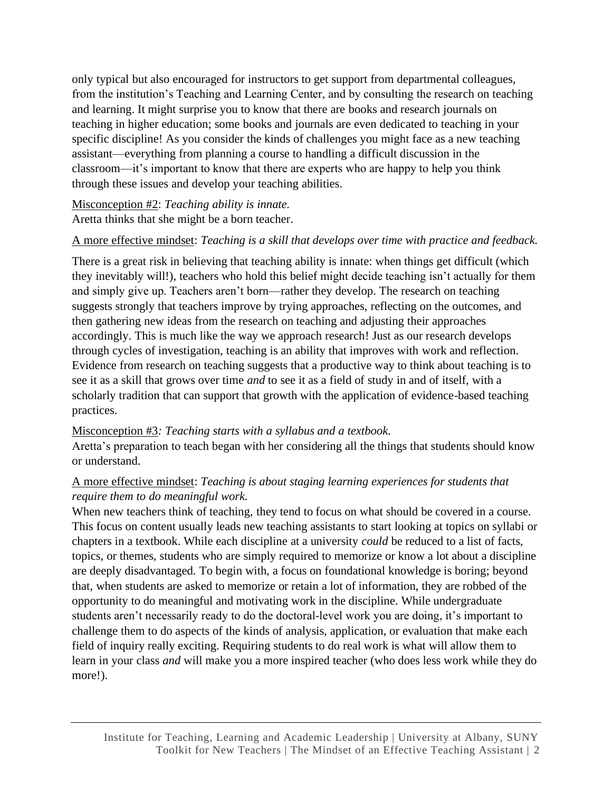only typical but also encouraged for instructors to get support from departmental colleagues, from the institution's Teaching and Learning Center, and by consulting the research on teaching and learning. It might surprise you to know that there are books and research journals on teaching in higher education; some books and journals are even dedicated to teaching in your specific discipline! As you consider the kinds of challenges you might face as a new teaching assistant—everything from planning a course to handling a difficult discussion in the classroom—it's important to know that there are experts who are happy to help you think through these issues and develop your teaching abilities.

Misconception #2: *Teaching ability is innate.* Aretta thinks that she might be a born teacher.

### A more effective mindset: *Teaching is a skill that develops over time with practice and feedback.*

There is a great risk in believing that teaching ability is innate: when things get difficult (which they inevitably will!), teachers who hold this belief might decide teaching isn't actually for them and simply give up. Teachers aren't born—rather they develop. The research on teaching suggests strongly that teachers improve by trying approaches, reflecting on the outcomes, and then gathering new ideas from the research on teaching and adjusting their approaches accordingly. This is much like the way we approach research! Just as our research develops through cycles of investigation, teaching is an ability that improves with work and reflection. Evidence from research on teaching suggests that a productive way to think about teaching is to see it as a skill that grows over time *and* to see it as a field of study in and of itself, with a scholarly tradition that can support that growth with the application of evidence-based teaching practices.

### Misconception #3*: Teaching starts with a syllabus and a textbook.*

Aretta's preparation to teach began with her considering all the things that students should know or understand.

### A more effective mindset: *Teaching is about staging learning experiences for students that require them to do meaningful work.*

When new teachers think of teaching, they tend to focus on what should be covered in a course. This focus on content usually leads new teaching assistants to start looking at topics on syllabi or chapters in a textbook. While each discipline at a university *could* be reduced to a list of facts, topics, or themes, students who are simply required to memorize or know a lot about a discipline are deeply disadvantaged. To begin with, a focus on foundational knowledge is boring; beyond that, when students are asked to memorize or retain a lot of information, they are robbed of the opportunity to do meaningful and motivating work in the discipline. While undergraduate students aren't necessarily ready to do the doctoral-level work you are doing, it's important to challenge them to do aspects of the kinds of analysis, application, or evaluation that make each field of inquiry really exciting. Requiring students to do real work is what will allow them to learn in your class *and* will make you a more inspired teacher (who does less work while they do more!).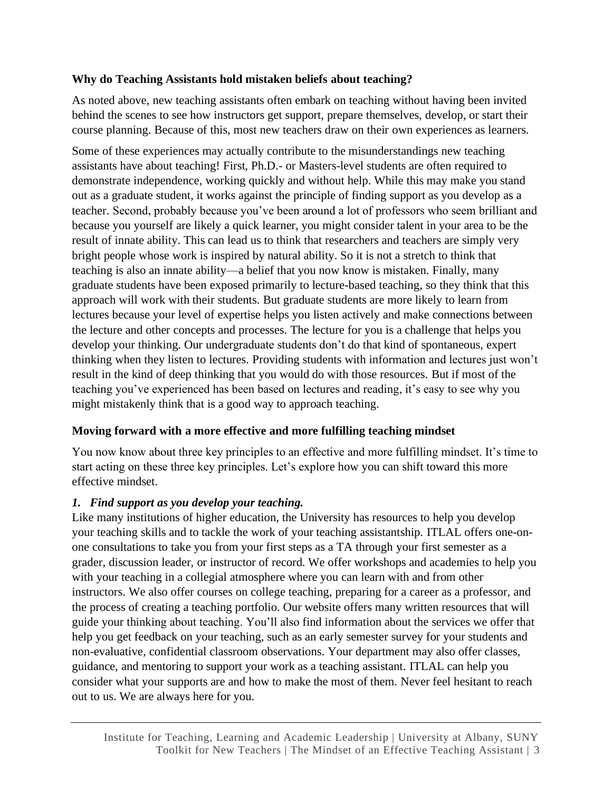## **Why do Teaching Assistants hold mistaken beliefs about teaching?**

As noted above, new teaching assistants often embark on teaching without having been invited behind the scenes to see how instructors get support, prepare themselves, develop, or start their course planning. Because of this, most new teachers draw on their own experiences as learners.

Some of these experiences may actually contribute to the misunderstandings new teaching assistants have about teaching! First, Ph.D.- or Masters-level students are often required to demonstrate independence, working quickly and without help. While this may make you stand out as a graduate student, it works against the principle of finding support as you develop as a teacher. Second, probably because you've been around a lot of professors who seem brilliant and because you yourself are likely a quick learner, you might consider talent in your area to be the result of innate ability. This can lead us to think that researchers and teachers are simply very bright people whose work is inspired by natural ability. So it is not a stretch to think that teaching is also an innate ability—a belief that you now know is mistaken. Finally, many graduate students have been exposed primarily to lecture-based teaching, so they think that this approach will work with their students. But graduate students are more likely to learn from lectures because your level of expertise helps you listen actively and make connections between the lecture and other concepts and processes. The lecture for you is a challenge that helps you develop your thinking. Our undergraduate students don't do that kind of spontaneous, expert thinking when they listen to lectures. Providing students with information and lectures just won't result in the kind of deep thinking that you would do with those resources. But if most of the teaching you've experienced has been based on lectures and reading, it's easy to see why you might mistakenly think that is a good way to approach teaching.

# **Moving forward with a more effective and more fulfilling teaching mindset**

You now know about three key principles to an effective and more fulfilling mindset. It's time to start acting on these three key principles. Let's explore how you can shift toward this more effective mindset.

## *1. Find support as you develop your teaching.*

Like many institutions of higher education, the University has resources to help you develop your teaching skills and to tackle the work of your teaching assistantship. ITLAL offers one-onone consultations to take you from your first steps as a TA through your first semester as a grader, discussion leader, or instructor of record. We offer workshops and academies to help you with your teaching in a collegial atmosphere where you can learn with and from other instructors. We also offer courses on college teaching, preparing for a career as a professor, and the process of creating a teaching portfolio. Our website offers many written resources that will guide your thinking about teaching. You'll also find information about the services we offer that help you get feedback on your teaching, such as an early semester survey for your students and non-evaluative, confidential classroom observations. Your department may also offer classes, guidance, and mentoring to support your work as a teaching assistant. ITLAL can help you consider what your supports are and how to make the most of them. Never feel hesitant to reach out to us. We are always here for you.